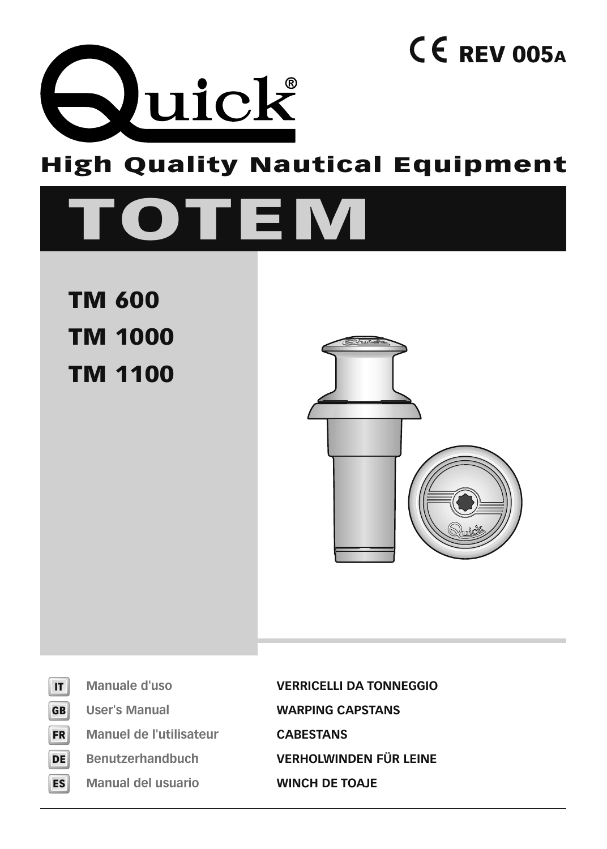

## **High Quality Nautical Equipment**

# **TOTEM**

 **TM 600 TM 1000 TM 1100**



**REV 005A**

| F<br>B |
|--------|
| R<br>Ξ |
| F      |

**ES**

**Manuel de l'utilisateur CABESTANS**

**Manual del usuario WINCH DE TOAJE**

**Manuale d'uso VERRICELLI DA TONNEGGIO User's Manual WARPING CAPSTANS Benutzerhandbuch VERHOLWINDEN FÜR LEINE**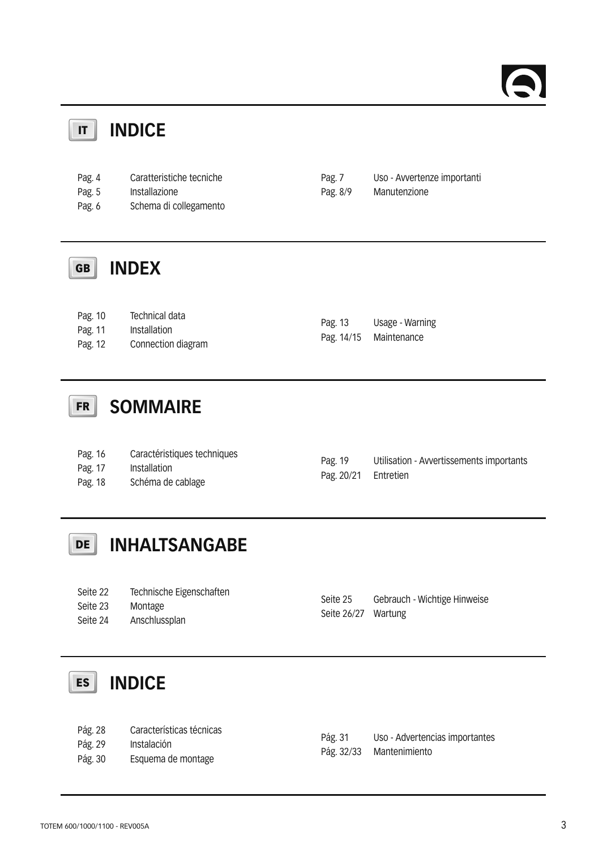#### **INDICE IT**

| Pag. 4 | Caratteristiche tecniche | Pag. 7   | Uso - Avvertenze importanti |
|--------|--------------------------|----------|-----------------------------|
| Pag. 5 | Installazione            | Pag. 8/9 | Manutenzione                |
| Pag. 6 | Schema di collegamento   |          |                             |

#### **INDEX GB**

| Pag. 10 | Technical data     |         | Usage - Warning        |  |
|---------|--------------------|---------|------------------------|--|
| Pag. 11 | Installation       | Pag. 13 |                        |  |
|         |                    |         | Pag. 14/15 Maintenance |  |
| Pag. 12 | Connection diagram |         |                        |  |

#### **SOMMAIRE FR**

| Pag. 16 | Caractéristiques techniques |            |                                          |
|---------|-----------------------------|------------|------------------------------------------|
| Pag. 17 | Installation                | Pag. 19    | Utilisation - Avvertissements importants |
|         |                             | Pag. 20/21 | Entretien                                |
| Pag. 18 | Schéma de cablage           |            |                                          |

### **INHALTSANGABE DE**

#### **INDICE ES**

| Pág. 28 | Características técnicas |  |
|---------|--------------------------|--|
|---------|--------------------------|--|

- Pág. 29 Instalación
- Pág. 30 Esquema de montage

| Pág. 31    | Uso - Advertencias importantes |
|------------|--------------------------------|
| Pág. 32/33 | Mantenimiento                  |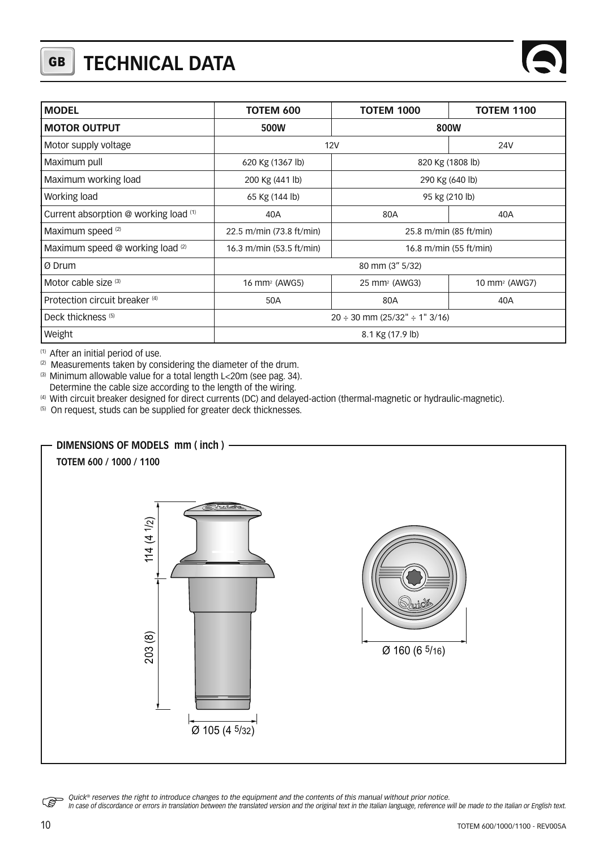## **GB TECHNICAL DATA**

| <b>MODEL</b>                          | TOTEM 600                                          | <b>TOTEM 1000</b>         | <b>TOTEM 1100</b>         |
|---------------------------------------|----------------------------------------------------|---------------------------|---------------------------|
| <b>MOTOR OUTPUT</b>                   | 500W                                               |                           | 800W                      |
| Motor supply voltage                  | <b>12V</b>                                         |                           | <b>24V</b>                |
| Maximum pull                          | 620 Kg (1367 lb)                                   | 820 Kg (1808 lb)          |                           |
| Maximum working load                  | 200 Kg (441 lb)                                    | 290 Kg (640 lb)           |                           |
| Working load                          | 65 Kg (144 lb)                                     | 95 kg (210 lb)            |                           |
| Current absorption @ working load (1) | 40A                                                | 80A                       | 40A                       |
| Maximum speed (2)                     | 22.5 m/min (73.8 ft/min)                           | 25.8 m/min (85 ft/min)    |                           |
| Maximum speed @ working load (2)      | 16.3 m/min (53.5 ft/min)<br>16.8 m/min (55 ft/min) |                           |                           |
| Ø Drum                                |                                                    | 80 mm (3" 5/32)           |                           |
| Motor cable size (3)                  | 16 mm <sup>2</sup> (AWG5)                          | 25 mm <sup>2</sup> (AWG3) | 10 mm <sup>2</sup> (AWG7) |
| Protection circuit breaker (4)        | 50A                                                | 80A                       | 40A                       |
| Deck thickness <sup>(5)</sup>         | $20 \div 30$ mm (25/32" $\div$ 1" 3/16)            |                           |                           |
| Weight                                | 8.1 Kg (17.9 lb)                                   |                           |                           |

(1) After an initial period of use.

<sup>(2)</sup> Measurements taken by considering the diameter of the drum.

(3) Minimum allowable value for a total length L<20m (see pag. 34).

Determine the cable size according to the length of the wiring.

(4) With circuit breaker designed for direct currents (DC) and delayed-action (thermal-magnetic or hydraulic-magnetic).

(5) On request, studs can be supplied for greater deck thicknesses.



Quick® reserves the right to introduce changes to the equipment and the contents of this manual without prior notice.<br>In case of discordance or errors in translation between the translated version and the original text in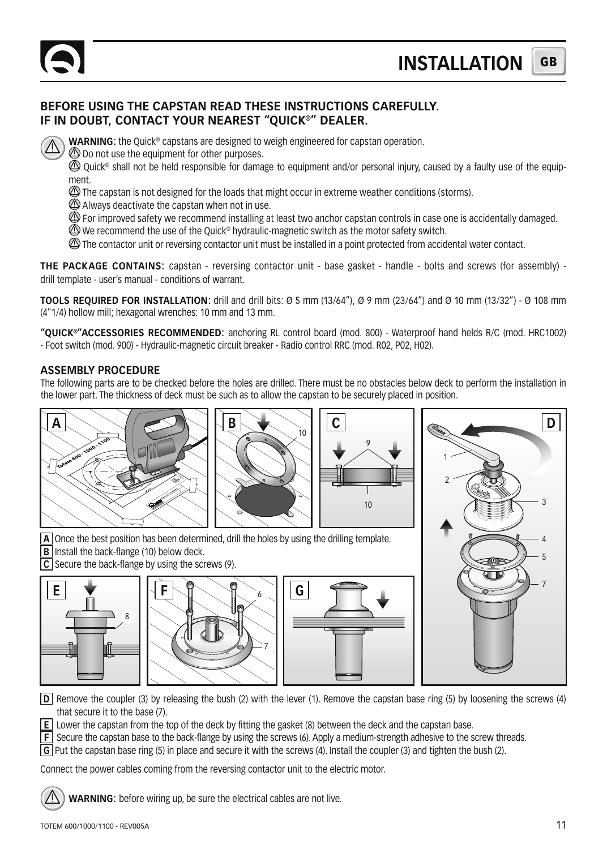#### **BEFORE USING THE CAPSTAN READ THESE INSTRUCTIONS CAREFULLY. IF IN DOUBT, CONTACT YOUR NEAREST "QUICK®" DEALER.**

**WARNING:** the Ouick<sup>®</sup> capstans are designed to weigh engineered for capstan operation.

 $\bigcirc$  Do not use the equipment for other purposes.

© Ouick® shall not be held responsible for damage to equipment and/or personal injury, caused by a faulty use of the equipment.

The capstan is not designed for the loads that might occur in extreme weather conditions (storms).

 $\bigcirc$  Always deactivate the capstan when not in use.

 $\oslash$  For improved safety we recommend installing at least two anchor capstan controls in case one is accidentally damaged.

 $\textcircled{2}$  We recommend the use of the Ouick® hydraulic-magnetic switch as the motor safety switch.

The contactor unit or reversing contactor unit must be installed in a point protected from accidental water contact.

**THE PACKAGE CONTAINS:** capstan - reversing contactor unit - base gasket - handle - bolts and screws (for assembly) drill template - user's manual - conditions of warrant.

**TOOLS REQUIRED FOR INSTALLATION:** drill and drill bits: Ø 5 mm (13/64"), Ø 9 mm (23/64") and Ø 10 mm (13/32") - Ø 108 mm (4"1/4) hollow mill; hexagonal wrenches: 10 mm and 13 mm.

**"QUICK®"ACCESSORIES RECOMMENDED:** anchoring RL control board (mod. 800) - Waterproof hand helds R/C (mod. HRC1002) - Foot switch (mod. 900) - Hydraulic-magnetic circuit breaker - Radio control RRC (mod. R02, P02, H02).

#### **ASSEMBLY PROCEDURE**

The following parts are to be checked before the holes are drilled. There must be no obstacles below deck to perform the installation in the lower part. The thickness of deck must be such as to allow the capstan to be securely placed in position.



**D** Remove the coupler (3) by releasing the bush (2) with the lever (1). Remove the capstan base ring (5) by loosening the screws (4) that secure it to the base (7).

**E** Lower the capstan from the top of the deck by fitting the gasket (8) between the deck and the capstan base.

**F** Secure the capstan base to the back-flange by using the screws (6). Apply a medium-strength adhesive to the screw threads.

**G** Put the capstan base ring (5) in place and secure it with the screws (4). Install the coupler (3) and tighten the bush (2).

Connect the power cables coming from the reversing contactor unit to the electric motor.

**WARNING:** before wiring up, be sure the electrical cables are not live.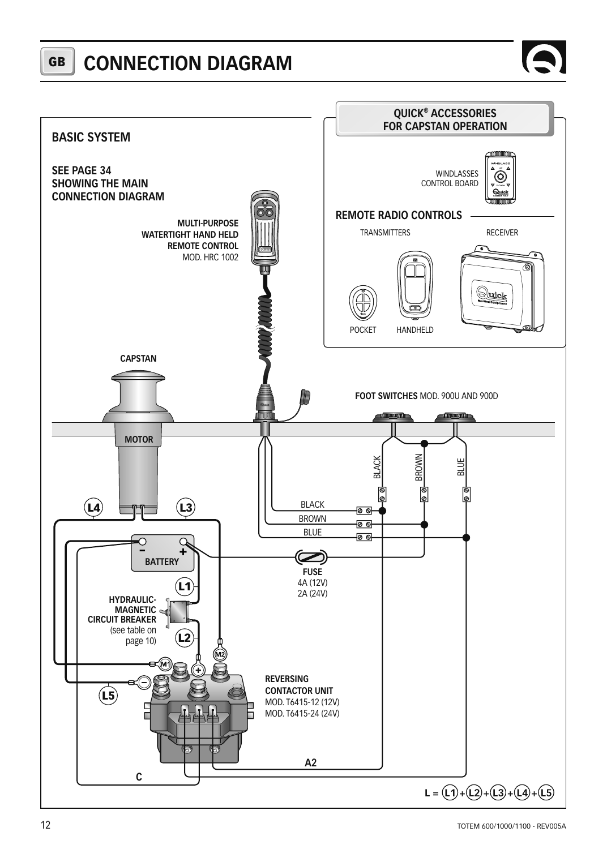#### **GB CONNECTION DIAGRAM**



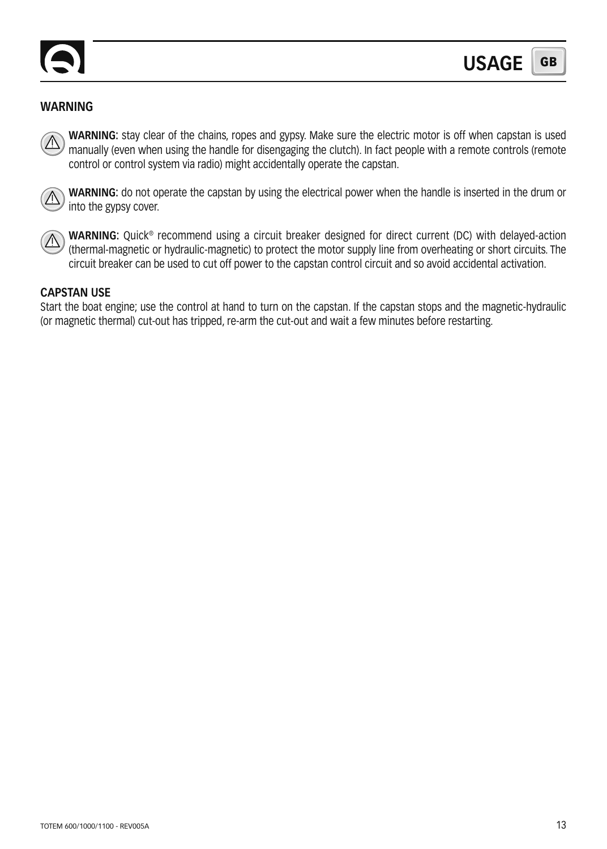

### **WARNING**

**WARNING:** stay clear of the chains, ropes and gypsy. Make sure the electric motor is off when capstan is used manually (even when using the handle for disengaging the clutch). In fact people with a remote controls (remote control or control system via radio) might accidentally operate the capstan.



**WARNING:** do not operate the capstan by using the electrical power when the handle is inserted in the drum or into the gypsy cover.



**WARNING:** Quick® recommend using a circuit breaker designed for direct current (DC) with delayed-action (thermal-magnetic or hydraulic-magnetic) to protect the motor supply line from overheating or short circuits. The circuit breaker can be used to cut off power to the capstan control circuit and so avoid accidental activation.

#### **CAPSTAN USE**

Start the boat engine; use the control at hand to turn on the capstan. If the capstan stops and the magnetic-hydraulic (or magnetic thermal) cut-out has tripped, re-arm the cut-out and wait a few minutes before restarting.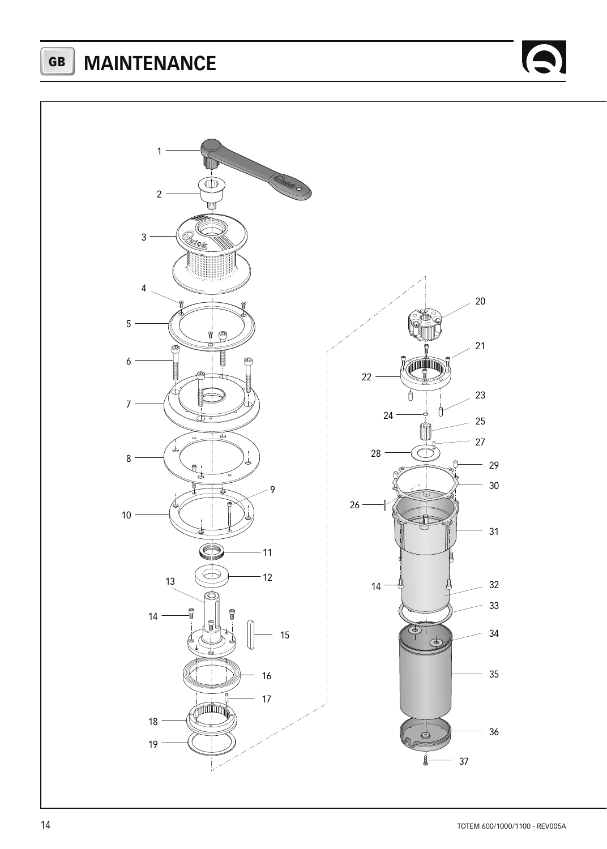**GB MAINTENANCE**



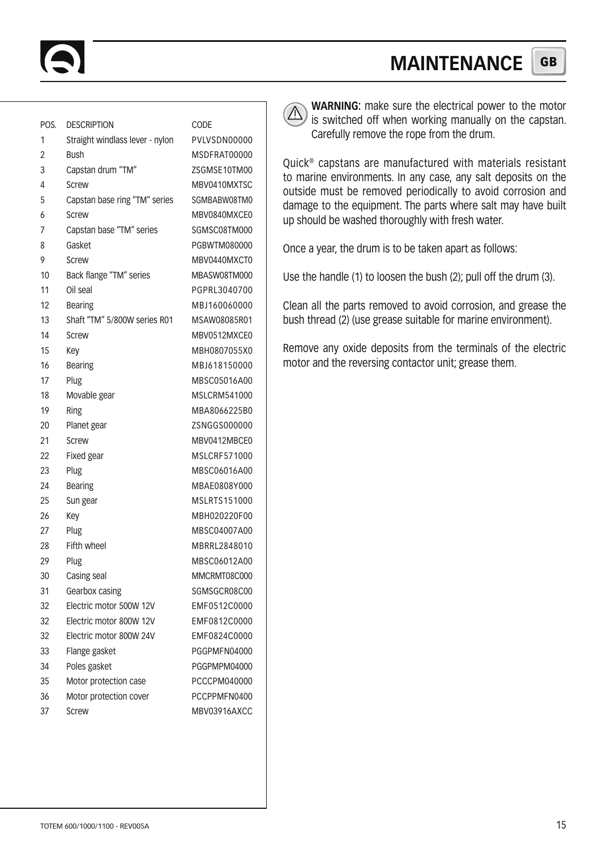#### **GB MAINTENANCE**

| POS. | <b>DESCRIPTION</b>              | CODE         |
|------|---------------------------------|--------------|
| 1    | Straight windlass lever - nylon | PVLVSDN00000 |
| 2    | Bush                            | MSDFRAT00000 |
| 3    | Capstan drum "TM"               | ZSGMSE10TM00 |
| 4    | Screw                           | MBV0410MXTSC |
| 5    | Capstan base ring "TM" series   | SGMBABW08TM0 |
| 6    | Screw                           | MBV0840MXCE0 |
| 7    | Capstan base "TM" series        | SGMSC08TM000 |
| 8    | Gasket                          | PGBWTM080000 |
| 9    | Screw                           | MBV0440MXCT0 |
| 10   | Back flange "TM" series         | MBASW08TM000 |
| 11   | Oil seal                        | PGPRL3040700 |
| 12   | <b>Bearing</b>                  | MBJ160060000 |
| 13   | Shaft "TM" 5/800W series R01    | MSAW08085R01 |
| 14   | Screw                           | MBV0512MXCE0 |
| 15   | Key                             | MBH0807055X0 |
| 16   | Bearing                         | MBJ618150000 |
| 17   | Plug                            | MBSC05016A00 |
| 18   | Movable gear                    | MSLCRM541000 |
| 19   | Ring                            | MBA8066225B0 |
| 20   | Planet gear                     | ZSNGGS000000 |
| 21   | Screw                           | MBV0412MBCE0 |
| 22   | Fixed gear                      | MSLCRF571000 |
| 23   | Plug                            | MBSC06016A00 |
| 24   | Bearing                         | MBAE0808Y000 |
| 25   | Sun gear                        | MSLRTS151000 |
| 26   | Key                             | MBH020220F00 |
| 27   | Plug                            | MBSC04007A00 |
| 28   | Fifth wheel                     | MBRRL2848010 |
| 29   | Plug                            | MBSC06012A00 |
| 30   | Casing seal                     | MMCRMT08C000 |
| 31   | Gearbox casing                  | SGMSGCR08C00 |
| 32   | Electric motor 500W 12V         | EMF0512C0000 |
| 32   | Electric motor 800W 12V         | EMF0812C0000 |
| 32   | Electric motor 800W 24V         | EMF0824C0000 |
| 33   | Flange gasket                   | PGGPMFN04000 |
| 34   | Poles gasket                    | PGGPMPM04000 |
| 35   | Motor protection case           | PCCCPM040000 |
| 36   | Motor protection cover          | PCCPPMFN0400 |
| 37   | Screw                           | MRV03916AXCC |
|      |                                 |              |



**WARNING:** make sure the electrical power to the motor is switched off when working manually on the capstan. Carefully remove the rope from the drum.

Quick® capstans are manufactured with materials resistant to marine environments. In any case, any salt deposits on the outside must be removed periodically to avoid corrosion and damage to the equipment. The parts where salt may have built up should be washed thoroughly with fresh water.

Once a year, the drum is to be taken apart as follows:

Use the handle (1) to loosen the bush (2); pull off the drum (3).

Clean all the parts removed to avoid corrosion, and grease the bush thread (2) (use grease suitable for marine environment).

Remove any oxide deposits from the terminals of the electric motor and the reversing contactor unit; grease them.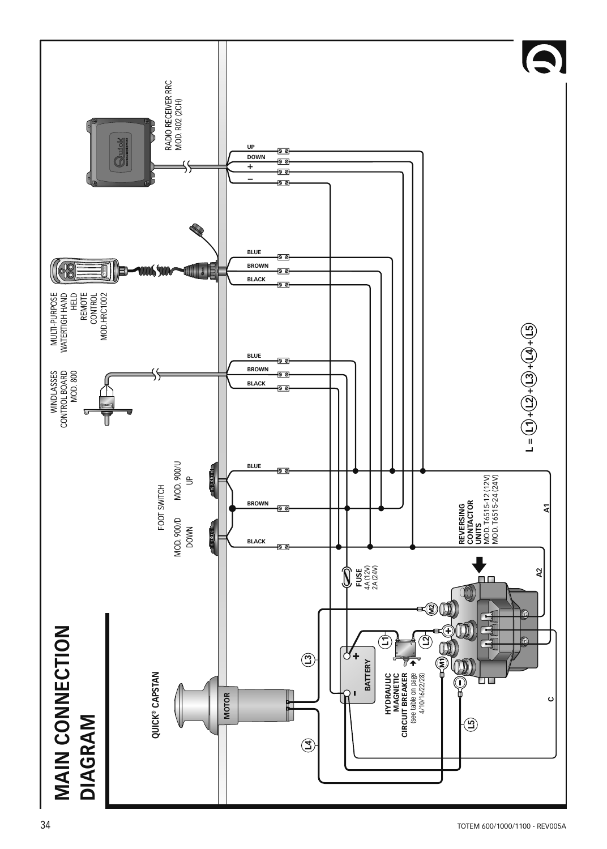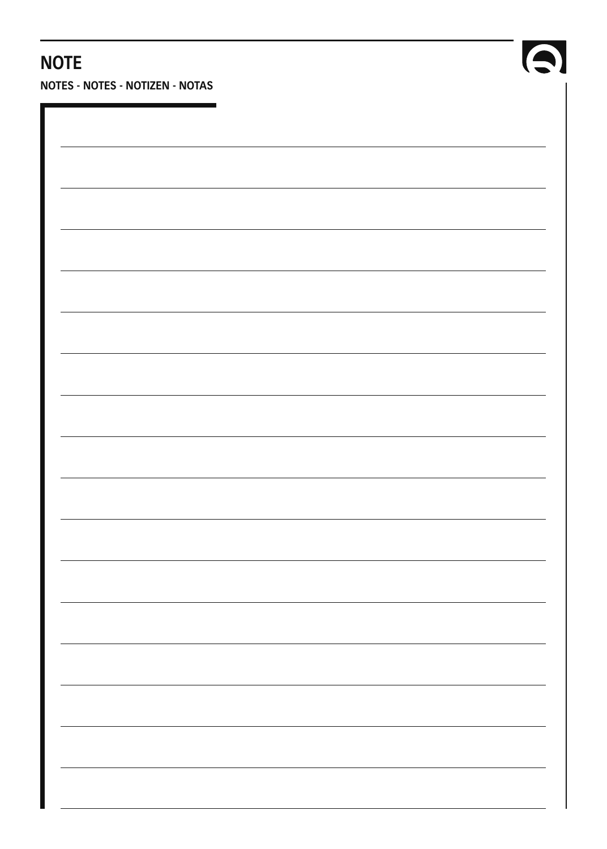## **NOTE**

**NOTES - NOTES - NOTIZEN - NOTAS**



Q